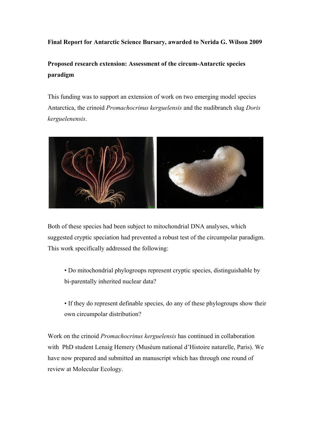## **Final Report for Antarctic Science Bursary, awarded to Nerida G. Wilson 2009**

## **Proposed research extension: Assessment of the circum-Antarctic species paradigm**

This funding was to support an extension of work on two emerging model species Antarctica, the crinoid *Promachocrinus kerguelensis* and the nudibranch slug *Doris kerguelenensis*.



Both of these species had been subject to mitochondrial DNA analyses, which suggested cryptic speciation had prevented a robust test of the circumpolar paradigm. This work specifically addressed the following:

• Do mitochondrial phylogroups represent cryptic species, distinguishable by bi-parentally inherited nuclear data?

• If they do represent definable species, do any of these phylogroups show their own circumpolar distribution?

Work on the crinoid *Promachocrinus kerguelensis* has continued in collaboration with PhD student Lenaig Hemery (Muséum national d'Histoire naturelle, Paris). We have now prepared and submitted an manuscript which has through one round of review at Molecular Ecology.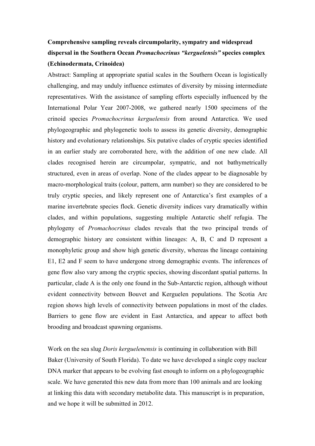## **Comprehensive sampling reveals circumpolarity, sympatry and widespread dispersal in the Southern Ocean** *Promachocrinus "kerguelensis"* **species complex (Echinodermata, Crinoidea)**

Abstract: Sampling at appropriate spatial scales in the Southern Ocean is logistically challenging, and may unduly influence estimates of diversity by missing intermediate representatives. With the assistance of sampling efforts especially influenced by the International Polar Year 2007-2008, we gathered nearly 1500 specimens of the crinoid species *Promachocrinus kerguelensis* from around Antarctica. We used phylogeographic and phylogenetic tools to assess its genetic diversity, demographic history and evolutionary relationships. Six putative clades of cryptic species identified in an earlier study are corroborated here, with the addition of one new clade. All clades recognised herein are circumpolar, sympatric, and not bathymetrically structured, even in areas of overlap. None of the clades appear to be diagnosable by macro-morphological traits (colour, pattern, arm number) so they are considered to be truly cryptic species, and likely represent one of Antarctica's first examples of a marine invertebrate species flock. Genetic diversity indices vary dramatically within clades, and within populations, suggesting multiple Antarctic shelf refugia. The phylogeny of *Promachocrinus* clades reveals that the two principal trends of demographic history are consistent within lineages: A, B, C and D represent a monophyletic group and show high genetic diversity, whereas the lineage containing E1, E2 and F seem to have undergone strong demographic events. The inferences of gene flow also vary among the cryptic species, showing discordant spatial patterns. In particular, clade A is the only one found in the Sub-Antarctic region, although without evident connectivity between Bouvet and Kerguelen populations. The Scotia Arc region shows high levels of connectivity between populations in most of the clades. Barriers to gene flow are evident in East Antarctica, and appear to affect both brooding and broadcast spawning organisms.

Work on the sea slug *Doris kerguelenensis* is continuing in collaboration with Bill Baker (University of South Florida). To date we have developed a single copy nuclear DNA marker that appears to be evolving fast enough to inform on a phylogeographic scale. We have generated this new data from more than 100 animals and are looking at linking this data with secondary metabolite data. This manuscript is in preparation, and we hope it will be submitted in 2012.